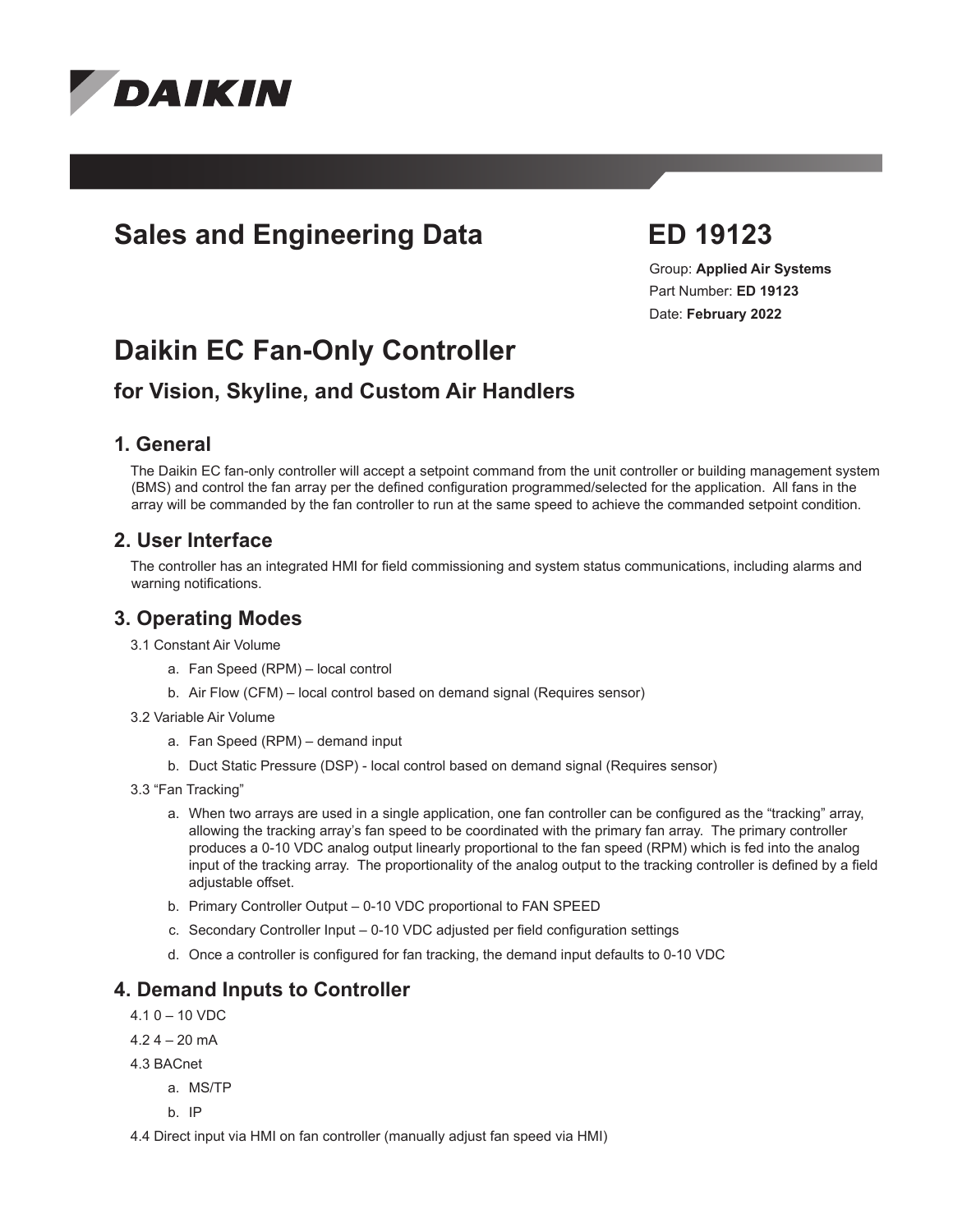

# **Sales and Engineering Data ED 19123**

Group: **Applied Air Systems** Part Number: **ED 19123** Date: **February 2022**

# **Daikin EC Fan-Only Controller**

# **for Vision, Skyline, and Custom Air Handlers**

#### **1. General**

The Daikin EC fan-only controller will accept a setpoint command from the unit controller or building management system (BMS) and control the fan array per the defined configuration programmed/selected for the application. All fans in the array will be commanded by the fan controller to run at the same speed to achieve the commanded setpoint condition.

#### **2. User Interface**

The controller has an integrated HMI for field commissioning and system status communications, including alarms and warning notifications.

#### **3. Operating Modes**

3.1 Constant Air Volume

- a. Fan Speed (RPM) local control
- b. Air Flow (CFM) local control based on demand signal (Requires sensor)
- 3.2 Variable Air Volume
	- a. Fan Speed (RPM) demand input
	- b. Duct Static Pressure (DSP) local control based on demand signal (Requires sensor)
- 3.3 "Fan Tracking"
	- a. When two arrays are used in a single application, one fan controller can be configured as the "tracking" array, allowing the tracking array's fan speed to be coordinated with the primary fan array. The primary controller produces a 0-10 VDC analog output linearly proportional to the fan speed (RPM) which is fed into the analog input of the tracking array. The proportionality of the analog output to the tracking controller is defined by a field adjustable offset.
	- b. Primary Controller Output 0-10 VDC proportional to FAN SPEED
	- c. Secondary Controller Input 0-10 VDC adjusted per field configuration settings
	- d. Once a controller is configured for fan tracking, the demand input defaults to 0-10 VDC

#### **4. Demand Inputs to Controller**

- $4.10 10$  VDC
- $4.2$  4 20 mA
- 4.3 BACnet
	- a. MS/TP
	- b. IP

4.4 Direct input via HMI on fan controller (manually adjust fan speed via HMI)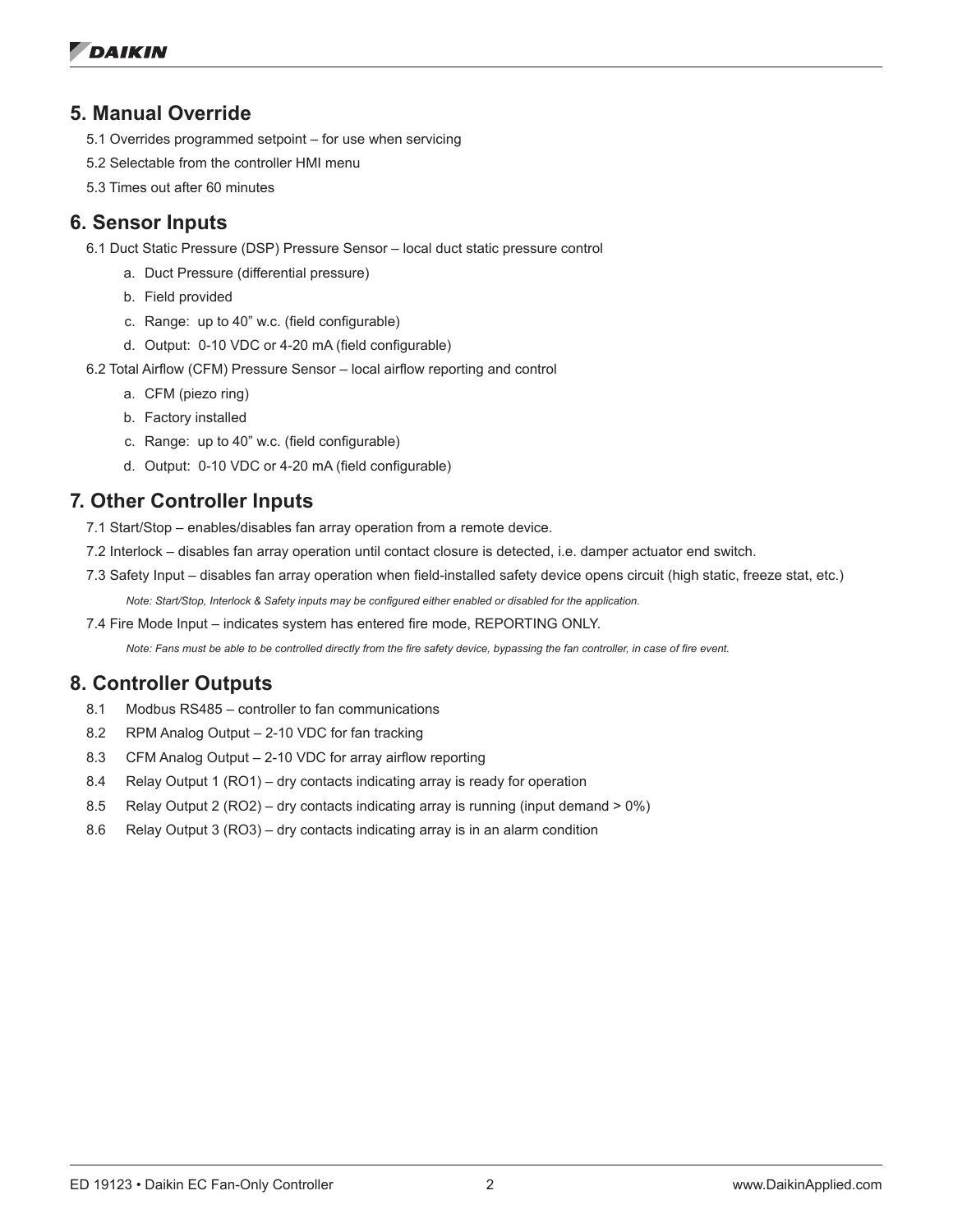#### **5. Manual Override**

- 5.1 Overrides programmed setpoint for use when servicing
- 5.2 Selectable from the controller HMI menu
- 5.3 Times out after 60 minutes

#### **6. Sensor Inputs**

- 6.1 Duct Static Pressure (DSP) Pressure Sensor local duct static pressure control
	- a. Duct Pressure (differential pressure)
	- b. Field provided
	- c. Range: up to 40" w.c. (field configurable)
	- d. Output: 0-10 VDC or 4-20 mA (field configurable)
- 6.2 Total Airflow (CFM) Pressure Sensor local airflow reporting and control
	- a. CFM (piezo ring)
	- b. Factory installed
	- c. Range: up to 40" w.c. (field configurable)
	- d. Output: 0-10 VDC or 4-20 mA (field configurable)

# **7. Other Controller Inputs**

- 7.1 Start/Stop enables/disables fan array operation from a remote device.
- 7.2 Interlock disables fan array operation until contact closure is detected, i.e. damper actuator end switch.
- 7.3 Safety Input disables fan array operation when field-installed safety device opens circuit (high static, freeze stat, etc.) *Note: Start/Stop, Interlock & Safety inputs may be configured either enabled or disabled for the application.*
- 7.4 Fire Mode Input indicates system has entered fire mode, REPORTING ONLY.

*Note: Fans must be able to be controlled directly from the fire safety device, bypassing the fan controller, in case of fire event.*

# **8. Controller Outputs**

- 8.1 Modbus RS485 controller to fan communications
- 8.2 RPM Analog Output 2-10 VDC for fan tracking
- 8.3 CFM Analog Output 2-10 VDC for array airflow reporting
- 8.4 Relay Output 1 (RO1) dry contacts indicating array is ready for operation
- 8.5 Relay Output 2 (RO2) dry contacts indicating array is running (input demand > 0%)
- 8.6 Relay Output 3 (RO3) dry contacts indicating array is in an alarm condition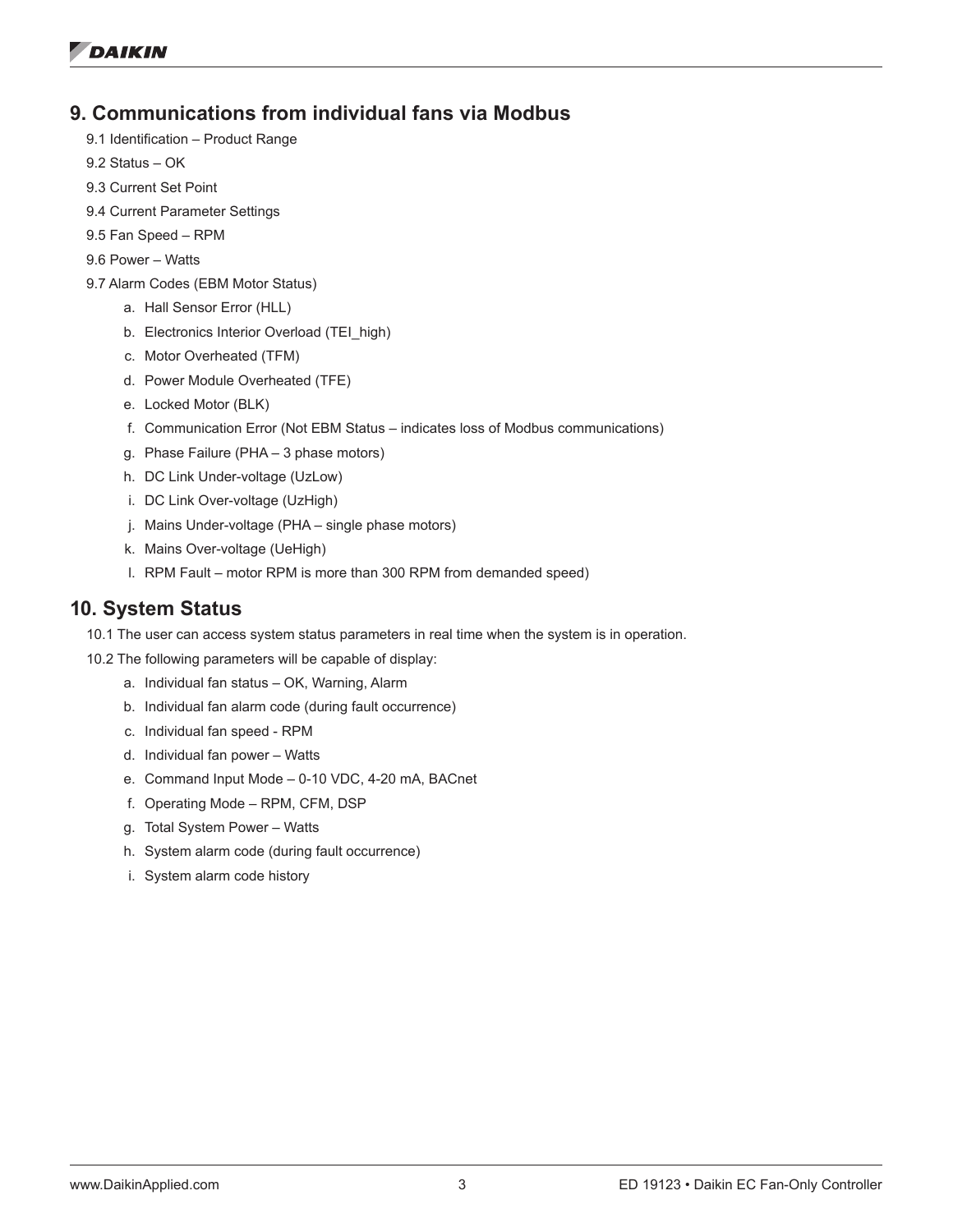#### **9. Communications from individual fans via Modbus**

- 9.1 Identification Product Range
- 9.2 Status OK
- 9.3 Current Set Point
- 9.4 Current Parameter Settings
- 9.5 Fan Speed RPM
- 9.6 Power Watts
- 9.7 Alarm Codes (EBM Motor Status)
	- a. Hall Sensor Error (HLL)
	- b. Electronics Interior Overload (TEI\_high)
	- c. Motor Overheated (TFM)
	- d. Power Module Overheated (TFE)
	- e. Locked Motor (BLK)
	- f. Communication Error (Not EBM Status indicates loss of Modbus communications)
	- g. Phase Failure (PHA 3 phase motors)
	- h. DC Link Under-voltage (UzLow)
	- i. DC Link Over-voltage (UzHigh)
	- j. Mains Under-voltage (PHA single phase motors)
	- k. Mains Over-voltage (UeHigh)
	- l. RPM Fault motor RPM is more than 300 RPM from demanded speed)

#### **10. System Status**

- 10.1 The user can access system status parameters in real time when the system is in operation.
- 10.2 The following parameters will be capable of display:
	- a. Individual fan status OK, Warning, Alarm
	- b. Individual fan alarm code (during fault occurrence)
	- c. Individual fan speed RPM
	- d. Individual fan power Watts
	- e. Command Input Mode 0-10 VDC, 4-20 mA, BACnet
	- f. Operating Mode RPM, CFM, DSP
	- g. Total System Power Watts
	- h. System alarm code (during fault occurrence)
	- i. System alarm code history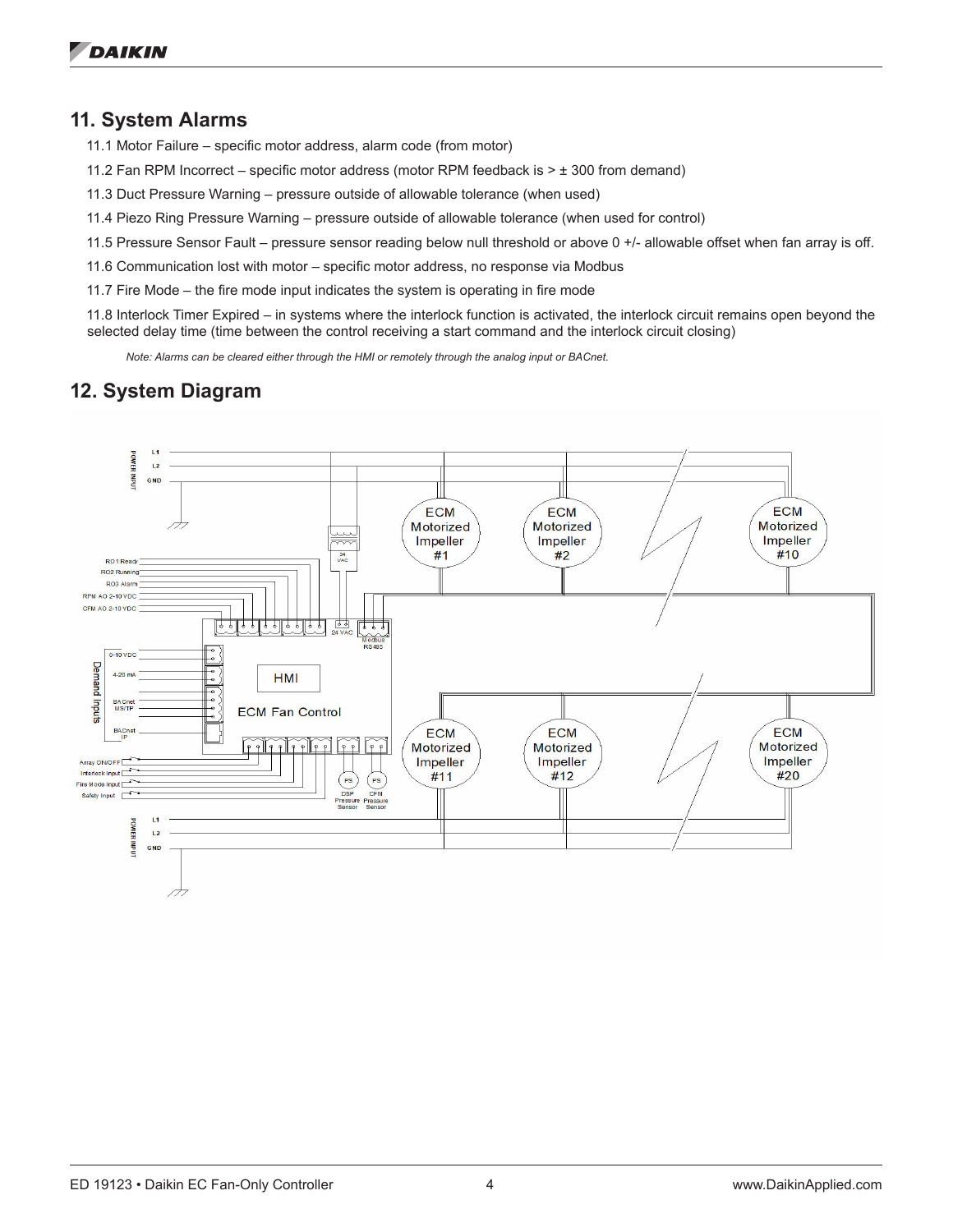#### **11. System Alarms**

11.1 Motor Failure – specific motor address, alarm code (from motor)

11.2 Fan RPM Incorrect – specific motor address (motor RPM feedback is > ± 300 from demand)

11.3 Duct Pressure Warning – pressure outside of allowable tolerance (when used)

11.4 Piezo Ring Pressure Warning – pressure outside of allowable tolerance (when used for control)

11.5 Pressure Sensor Fault – pressure sensor reading below null threshold or above 0 +/- allowable offset when fan array is off.

11.6 Communication lost with motor – specific motor address, no response via Modbus

11.7 Fire Mode – the fire mode input indicates the system is operating in fire mode

11.8 Interlock Timer Expired – in systems where the interlock function is activated, the interlock circuit remains open beyond the selected delay time (time between the control receiving a start command and the interlock circuit closing)

*Note: Alarms can be cleared either through the HMI or remotely through the analog input or BACnet.*

# **12. System Diagram**